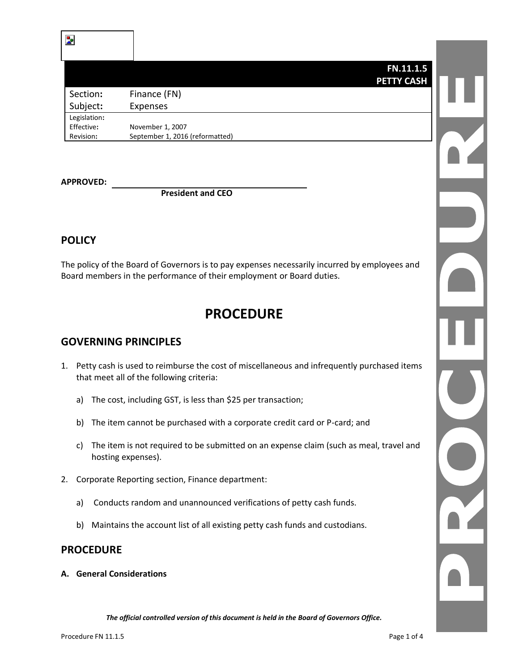## **FN.11.1.5 PETTY CASH**

| Section:     | Finance (FN)                    |
|--------------|---------------------------------|
| Subject:     | <b>Expenses</b>                 |
| Legislation: |                                 |
| Effective:   | November 1, 2007                |
| Revision:    | September 1, 2016 (reformatted) |

**APPROVED:**

**President and CEO**

## **POLICY**

The policy of the Board of Governors is to pay expenses necessarily incurred by employees and Board members in the performance of their employment or Board duties.

# **PROCEDURE**

## **GOVERNING PRINCIPLES**

- 1. Petty cash is used to reimburse the cost of miscellaneous and infrequently purchased items that meet all of the following criteria:
	- a) The cost, including GST, is less than \$25 per transaction;
	- b) The item cannot be purchased with a corporate credit card or P-card; and
	- c) The item is not required to be submitted on an expense claim (such as meal, travel and hosting expenses).
- 2. Corporate Reporting section, Finance department:
	- a) Conducts random and unannounced verifications of petty cash funds.
	- b) Maintains the account list of all existing petty cash funds and custodians.

## **PROCEDURE**

**A. General Considerations**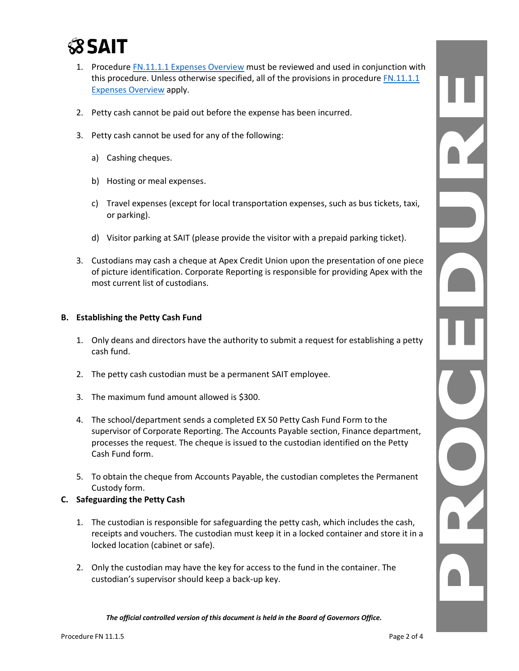

- 1. Procedure [FN.11.1.1 Expenses Overview](https://www.sait.ca/assets/documents/about-sait/policies-and-procedures/finance/fn-11-1-1-expenses.pdf) must be reviewed and used in conjunction with this procedure. Unless otherwise specified, all of the provisions in procedure FN.11.1.1 [Expenses Overview](https://www.sait.ca/assets/documents/about-sait/policies-and-procedures/finance/fn-11-1-1-expenses.pdf) apply.
- 2. Petty cash cannot be paid out before the expense has been incurred.
- 3. Petty cash cannot be used for any of the following:
	- a) Cashing cheques.
	- b) Hosting or meal expenses.
	- c) Travel expenses (except for local transportation expenses, such as bus tickets, taxi, or parking).
	- d) Visitor parking at SAIT (please provide the visitor with a prepaid parking ticket).
- 3. Custodians may cash a cheque at Apex Credit Union upon the presentation of one piece of picture identification. Corporate Reporting is responsible for providing Apex with the most current list of custodians.

#### **B. Establishing the Petty Cash Fund**

- 1. Only deans and directors have the authority to submit a request for establishing a petty cash fund.
- 2. The petty cash custodian must be a permanent SAIT employee.
- 3. The maximum fund amount allowed is \$300.
- 4. The school/department sends a completed EX 50 Petty Cash Fund Form to the supervisor of Corporate Reporting. The Accounts Payable section, Finance department, processes the request. The cheque is issued to the custodian identified on the Petty Cash Fund form.
- 5. To obtain the cheque from Accounts Payable, the custodian completes the Permanent Custody form.

### **C. Safeguarding the Petty Cash**

- 1. The custodian is responsible for safeguarding the petty cash, which includes the cash, receipts and vouchers. The custodian must keep it in a locked container and store it in a locked location (cabinet or safe).
- 2. Only the custodian may have the key for access to the fund in the container. The custodian's supervisor should keep a back-up key.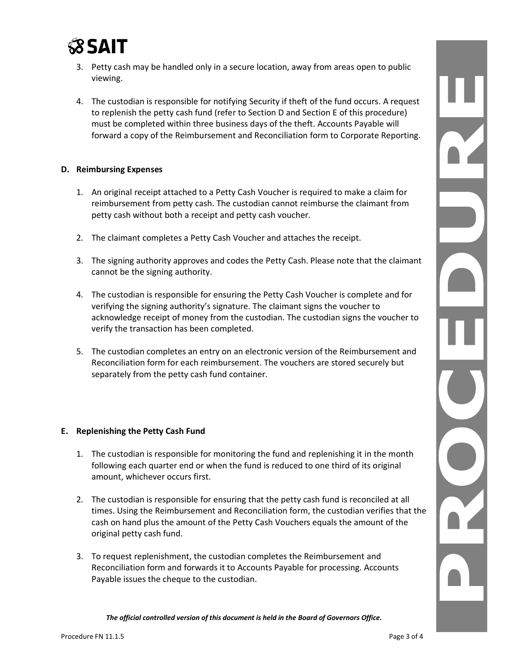

- 3. Petty cash may be handled only in a secure location, away from areas open to public viewing.
- 4. The custodian is responsible for notifying Security if theft of the fund occurs. A request to replenish the petty cash fund (refer to Section D and Section E of this procedure) must be completed within three business days of the theft. Accounts Payable will forward a copy of the Reimbursement and Reconciliation form to Corporate Reporting.

### **D. Reimbursing Expenses**

- 1. An original receipt attached to a Petty Cash Voucher is required to make a claim for reimbursement from petty cash. The custodian cannot reimburse the claimant from petty cash without both a receipt and petty cash voucher.
- 2. The claimant completes a Petty Cash Voucher and attaches the receipt.
- 3. The signing authority approves and codes the Petty Cash. Please note that the claimant cannot be the signing authority.
- 4. The custodian is responsible for ensuring the Petty Cash Voucher is complete and for verifying the signing authority's signature. The claimant signs the voucher to acknowledge receipt of money from the custodian. The custodian signs the voucher to verify the transaction has been completed.
- 5. The custodian completes an entry on an electronic version of the Reimbursement and Reconciliation form for each reimbursement. The vouchers are stored securely but separately from the petty cash fund container.

### **E. Replenishing the Petty Cash Fund**

- 1. The custodian is responsible for monitoring the fund and replenishing it in the month following each quarter end or when the fund is reduced to one third of its original amount, whichever occurs first.
- 2. The custodian is responsible for ensuring that the petty cash fund is reconciled at all times. Using the Reimbursement and Reconciliation form, the custodian verifies that the cash on hand plus the amount of the Petty Cash Vouchers equals the amount of the original petty cash fund.
- 3. To request replenishment, the custodian completes the Reimbursement and Reconciliation form and forwards it to Accounts Payable for processing. Accounts Payable issues the cheque to the custodian.